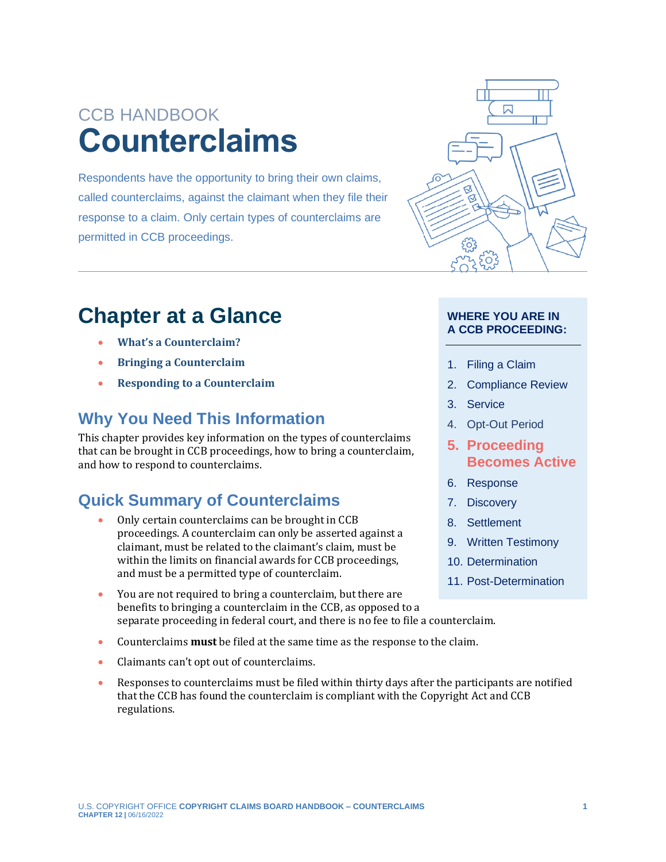# CCB HANDBOOK **Counterclaims**

Respondents have the opportunity to bring their own claims, called counterclaims, against the claimant when they file their response to a claim. Only certain types of counterclaims are permitted in CCB proceedings.



# **Chapter at a Glance**

- **[What's a Counterclaim?](#page-1-0)**
- **[Bringing a Counterclaim](#page-1-1)**
- **[Responding to a Counterclaim](#page-5-0)**

## **Why You Need This Information**

This chapter provides key information on the types of counterclaims that can be brought in CCB proceedings, how to bring a counterclaim, and how to respond to counterclaims.

## **Quick Summary of Counterclaims**

- Only certain counterclaims can be brought in CCB proceedings. A counterclaim can only be asserted against a claimant, must be related to the claimant's claim, must be within the limits on financial awards for CCB proceedings, and must be a permitted type of counterclaim.
- You are not required to bring a counterclaim, but there are benefits to bringing a counterclaim in the CCB, as opposed to a separate proceeding in federal court, and there is no fee to file a counterclaim.
- Counterclaims **must** be filed at the same time as the response to the claim.
- Claimants can't opt out of counterclaims.
- Responses to counterclaims must be filed within thirty days after the participants are notified that the CCB has found the counterclaim is compliant with the Copyright Act and CCB regulations.

#### **WHERE YOU ARE IN A CCB PROCEEDING:**

- 1. Filing a Claim
- 2. Compliance Review
- 3. Service
- 4. Opt-Out Period
- <span id="page-0-0"></span>**5. [Proceeding](#page-6-0)  [Becomes Active](#page-6-0)**
- 6. Response
- 7. Discovery
- 8. Settlement
- 9. Written Testimony
- 10. Determination
- 11. Post-Determination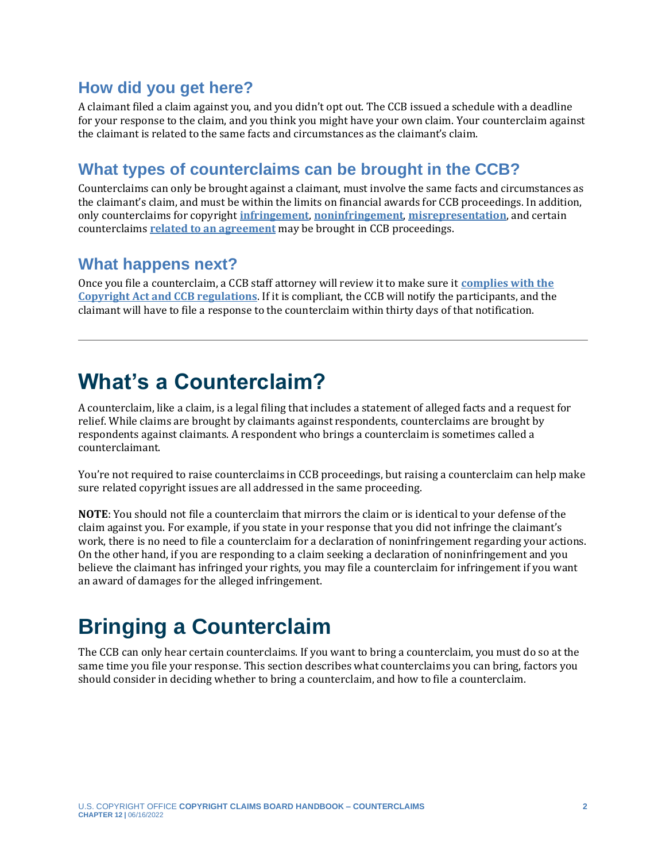### **How did you get here?**

A claimant filed a claim against you, and you didn't opt out. The CCB issued a schedule with a deadline for your response to the claim, and you think you might have your own claim. Your counterclaim against the claimant is related to the same facts and circumstances as the claimant's claim.

### **What types of counterclaims can be brought in the CCB?**

Counterclaims can only be brought against a claimant, must involve the same facts and circumstances as the claimant's claim, and must be within the limits on financial awards for CCB proceedings. In addition, only counterclaims for copyright **[infringement](https://ccb.gov/handbook/Infringement-Claim.pdf)**, **[noninfringement](https://ccb.gov/handbook/Noninfringement-Claim.pdf)**, **[misrepresentation](https://ccb.gov/handbook/Misrepresentation-Claim.pdf)**, and certain counterclaims **[related to an agreement](#page-3-0)** may be brought in CCB proceedings.

### **What happens next?**

Once you file a counterclaim, a CCB staff attorney will review it to make sure it **[complies with the](https://ccb.gov/handbook/Compliance.pdf)  [Copyright Act and CCB regulations](https://ccb.gov/handbook/Compliance.pdf)**. If it is compliant, the CCB will notify the participants, and the claimant will have to file a response to the counterclaim within thirty days of that notification.

# <span id="page-1-0"></span>**What's a Counterclaim?**

A counterclaim, like a claim, is a legal filing that includes a statement of alleged facts and a request for relief. While claims are brought by claimants against respondents, counterclaims are brought by respondents against claimants. A respondent who brings a counterclaim is sometimes called a counterclaimant.

You're not required to raise counterclaims in CCB proceedings, but raising a counterclaim can help make sure related copyright issues are all addressed in the same proceeding.

**NOTE**: You should not file a counterclaim that mirrors the claim or is identical to your defense of the claim against you. For example, if you state in your response that you did not infringe the claimant's work, there is no need to file a counterclaim for a declaration of noninfringement regarding your actions. On the other hand, if you are responding to a claim seeking a declaration of noninfringement and you believe the claimant has infringed your rights, you may file a counterclaim for infringement if you want an award of damages for the alleged infringement.

# <span id="page-1-1"></span>**Bringing a Counterclaim**

<span id="page-1-2"></span>The CCB can only hear certain counterclaims. If you want to bring a counterclaim, you must do so at the same time you file your response. This section describes what counterclaims you can bring, factors you should consider in deciding whether to bring a counterclaim, and how to file a counterclaim.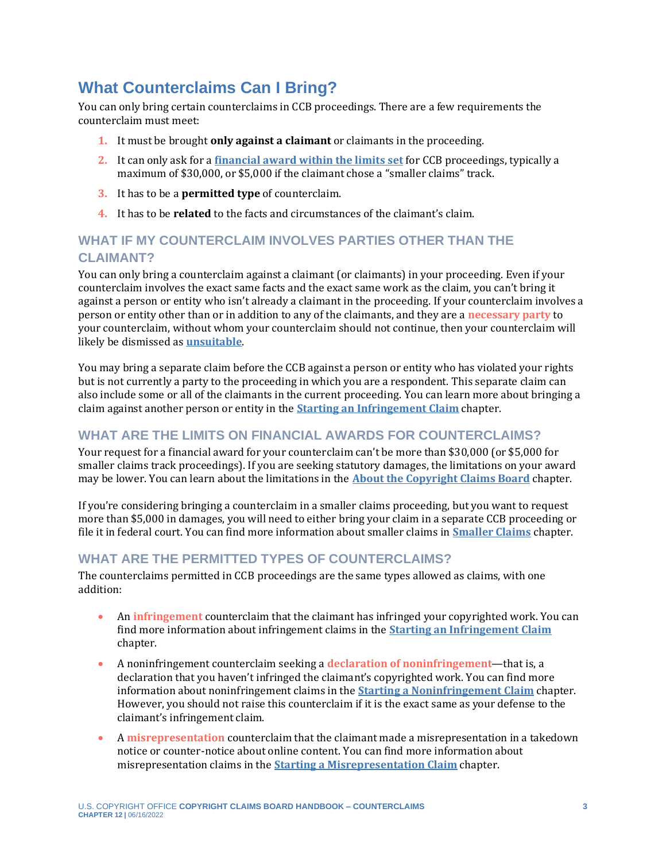## **What Counterclaims Can I Bring?**

You can only bring certain counterclaims in CCB proceedings. There are a few requirements the counterclaim must meet:

- **1.** It must be brought **only against a claimant** or claimants in the proceeding.
- **2.** It can only ask for a **[financial award within the limits set](https://ccb.gov/handbook/Introduction.pdf)** for CCB proceedings, typically a maximum of \$30,000, or \$5,000 if the claimant chose a "smaller claims" track.
- **3.** It has to be a **permitted type** of counterclaim.
- <span id="page-2-3"></span>**4.** It has to be **related** to the facts and circumstances of the claimant's claim.

### **WHAT IF MY COUNTERCLAIM INVOLVES PARTIES OTHER THAN THE CLAIMANT?**

You can only bring a counterclaim against a claimant (or claimants) in your proceeding. Even if your counterclaim involves the exact same facts and the exact same work as the claim, you can't bring it against a person or entity who isn't already a claimant in the proceeding. If your counterclaim involves a person or entity other than or in addition to any of the claimants, and they are a **[necessary party](#page-6-0)** to your counterclaim, without whom your counterclaim should not continue, then your counterclaim will likely be dismissed as **[unsuitable](https://ccb.gov/handbook/Unsuitability.pdf)**.

You may bring a separate claim before the CCB against a person or entity who has violated your rights but is not currently a party to the proceeding in which you are a respondent. This separate claim can also include some or all of the claimants in the current proceeding. You can learn more about bringing a claim against another person or entity in the **[Starting an Infringement Claim](https://ccb.gov/handbook/Infringement-Claim.pdf)** chapter.

#### **WHAT ARE THE LIMITS ON FINANCIAL AWARDS FOR COUNTERCLAIMS?**

Your request for a financial award for your counterclaim can't be more than \$30,000 (or \$5,000 for smaller claims track proceedings). If you are seeking statutory damages, the limitations on your award may be lower. You can learn about the limitations in the **[About the Copyright Claims Board](https://ccb.gov/handbook/Introduction.pdf)** chapter.

If you're considering bringing a counterclaim in a smaller claims proceeding, but you want to request more than \$5,000 in damages, you will need to either bring your claim in a separate CCB proceeding or file it in federal court. You can find more information about smaller claims in **[Smaller Claims](https://ccb.gov/handbook/Smaller-Claims.pdf)** chapter.

#### **WHAT ARE THE PERMITTED TYPES OF COUNTERCLAIMS?**

The counterclaims permitted in CCB proceedings are the same types allowed as claims, with one addition:

- <span id="page-2-1"></span>• An **[infringement](#page-6-0)** counterclaim that the claimant has infringed your copyrighted work. You can find more information about infringement claims in the **[Starting an Infringement Claim](https://ccb.gov/handbook/Infringement-Claim.pdf)** chapter.
- <span id="page-2-0"></span>• A noninfringement counterclaim seeking a **[declaration of noninfringement](#page-6-0)**—that is, a declaration that you haven't infringed the claimant's copyrighted work. You can find more information about noninfringement claims in the **[Starting a Noninfringement Claim](https://ccb.gov/handbook/Noninfringement-Claim.pdf)** chapter. However, you should not raise this counterclaim if it is the exact same as your defense to the claimant's infringement claim.
- <span id="page-2-2"></span>• A **[misrepresentation](#page-6-0)** counterclaim that the claimant made a misrepresentation in a takedown notice or counter-notice about online content. You can find more information about misrepresentation claims in the **[Starting a Misrepresentation Claim](https://ccb.gov/handbook/Misrepresentation-Claim.pdf)** chapter.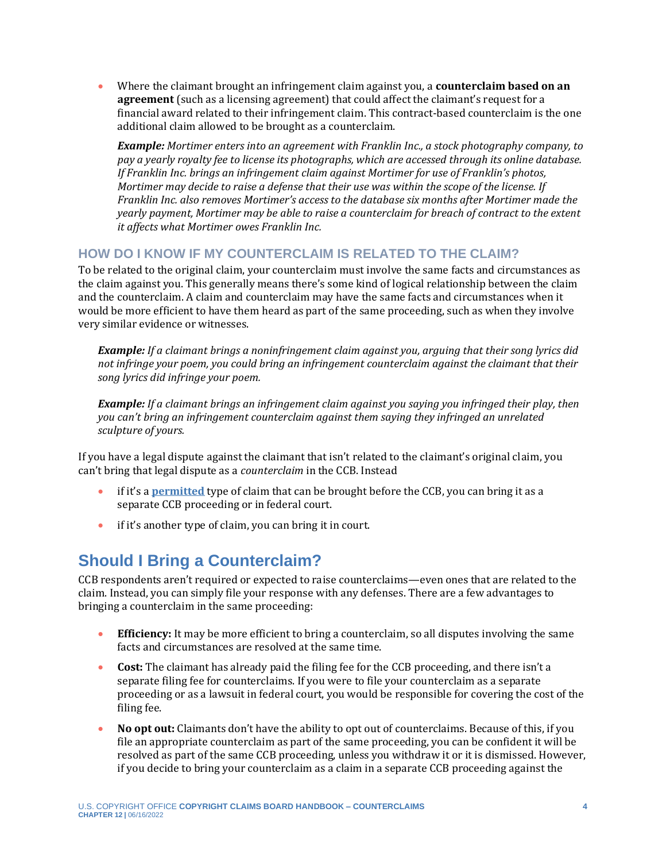<span id="page-3-0"></span>• Where the claimant brought an infringement claim against you, a **counterclaim based on an agreement** (such as a licensing agreement) that could affect the claimant's request for a financial award related to their infringement claim. This contract-based counterclaim is the one additional claim allowed to be brought as a counterclaim.

*Example: Mortimer enters into an agreement with Franklin Inc., a stock photography company, to pay a yearly royalty fee to license its photographs, which are accessed through its online database. If Franklin Inc. brings an infringement claim against Mortimer for use of Franklin's photos, Mortimer may decide to raise a defense that their use was within the scope of the license. If Franklin Inc. also removes Mortimer's access to the database six months after Mortimer made the yearly payment, Mortimer may be able to raise a counterclaim for breach of contract to the extent it affects what Mortimer owes Franklin Inc.*

#### **HOW DO I KNOW IF MY COUNTERCLAIM IS RELATED TO THE CLAIM?**

To be related to the original claim, your counterclaim must involve the same facts and circumstances as the claim against you. This generally means there's some kind of logical relationship between the claim and the counterclaim. A claim and counterclaim may have the same facts and circumstances when it would be more efficient to have them heard as part of the same proceeding, such as when they involve very similar evidence or witnesses.

*Example: If a claimant brings a noninfringement claim against you, arguing that their song lyrics did not infringe your poem, you could bring an infringement counterclaim against the claimant that their song lyrics did infringe your poem.*

*Example: If a claimant brings an infringement claim against you saying you infringed their play, then you can't bring an infringement counterclaim against them saying they infringed an unrelated sculpture of yours.*

If you have a legal dispute against the claimant that isn't related to the claimant's original claim, you can't bring that legal dispute as a *counterclaim* in the CCB. Instead

- if it's a **[permitted](#page-1-2)** type of claim that can be brought before the CCB, you can bring it as a separate CCB proceeding or in federal court.
- if it's another type of claim, you can bring it in court.

## **Should I Bring a Counterclaim?**

CCB respondents aren't required or expected to raise counterclaims—even ones that are related to the claim. Instead, you can simply file your response with any defenses. There are a few advantages to bringing a counterclaim in the same proceeding:

- **Efficiency:** It may be more efficient to bring a counterclaim, so all disputes involving the same facts and circumstances are resolved at the same time.
- **Cost:** The claimant has already paid the filing fee for the CCB proceeding, and there isn't a separate filing fee for counterclaims. If you were to file your counterclaim as a separate proceeding or as a lawsuit in federal court, you would be responsible for covering the cost of the filing fee.
- **No opt out:** Claimants don't have the ability to opt out of counterclaims. Because of this, if you file an appropriate counterclaim as part of the same proceeding, you can be confident it will be resolved as part of the same CCB proceeding, unless you withdraw it or it is dismissed. However, if you decide to bring your counterclaim as a claim in a separate CCB proceeding against the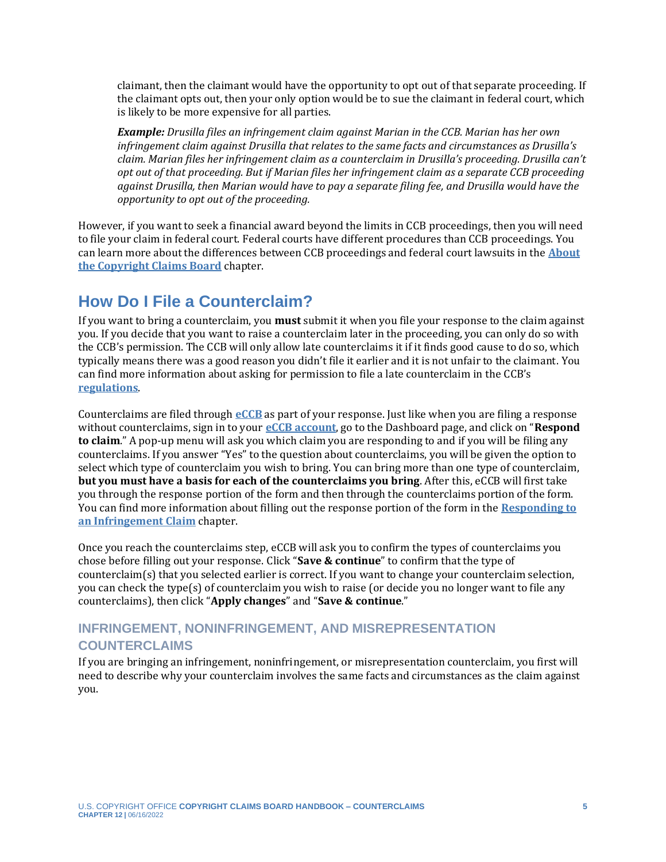claimant, then the claimant would have the opportunity to opt out of that separate proceeding. If the claimant opts out, then your only option would be to sue the claimant in federal court, which is likely to be more expensive for all parties.

*Example: Drusilla files an infringement claim against Marian in the CCB. Marian has her own infringement claim against Drusilla that relates to the same facts and circumstances as Drusilla's claim. Marian files her infringement claim as a counterclaim in Drusilla's proceeding. Drusilla can't opt out of that proceeding. But if Marian files her infringement claim as a separate CCB proceeding against Drusilla, then Marian would have to pay a separate filing fee, and Drusilla would have the opportunity to opt out of the proceeding.* 

However, if you want to seek a financial award beyond the limits in CCB proceedings, then you will need to file your claim in federal court. Federal courts have different procedures than CCB proceedings. You can learn more about the differences between CCB proceedings and federal court lawsuits in the **[About](https://ccb.gov/handbook/Introduction.pdf)  [the Copyright Claims Board](https://ccb.gov/handbook/Introduction.pdf)** chapter.

## **How Do I File a Counterclaim?**

If you want to bring a counterclaim, you **must** submit it when you file your response to the claim against you. If you decide that you want to raise a counterclaim later in the proceeding, you can only do so with the CCB's permission. The CCB will only allow late counterclaims it if it finds good cause to do so, which typically means there was a good reason you didn't file it earlier and it is not unfair to the claimant. You can find more information about asking for permission to file a late counterclaim in the CCB's **[regulations](https://www.govinfo.gov/content/pkg/FR-2022-05-17/pdf/2022-10466.pdf)**.

Counterclaims are filed through **[eCCB](https://dockets.eccb.gov/)** as part of your response. Just like when you are filing a response without counterclaims, sign in to your **[eCCB account](https://ccb.gov/handbook/eCCB.pdf)**, go to the Dashboard page, and click on "**Respond to claim**." A pop-up menu will ask you which claim you are responding to and if you will be filing any counterclaims. If you answer "Yes" to the question about counterclaims, you will be given the option to select which type of counterclaim you wish to bring. You can bring more than one type of counterclaim, **but you must have a basis for each of the counterclaims you bring**. After this, eCCB will first take you through the response portion of the form and then through the counterclaims portion of the form. You can find more information about filling out the response portion of the form in the **[Responding to](https://ccb.gov/handbook/Response-Infringement.pdf)  [an Infringement Claim](https://ccb.gov/handbook/Response-Infringement.pdf)** chapter.

Once you reach the counterclaims step, eCCB will ask you to confirm the types of counterclaims you chose before filling out your response. Click "**Save & continue**" to confirm that the type of counterclaim(s) that you selected earlier is correct. If you want to change your counterclaim selection, you can check the type(s) of counterclaim you wish to raise (or decide you no longer want to file any counterclaims), then click "**Apply changes**" and "**Save & continue**."

### **INFRINGEMENT, NONINFRINGEMENT, AND MISREPRESENTATION COUNTERCLAIMS**

If you are bringing an infringement, noninfringement, or misrepresentation counterclaim, you first will need to describe why your counterclaim involves the same facts and circumstances as the claim against you.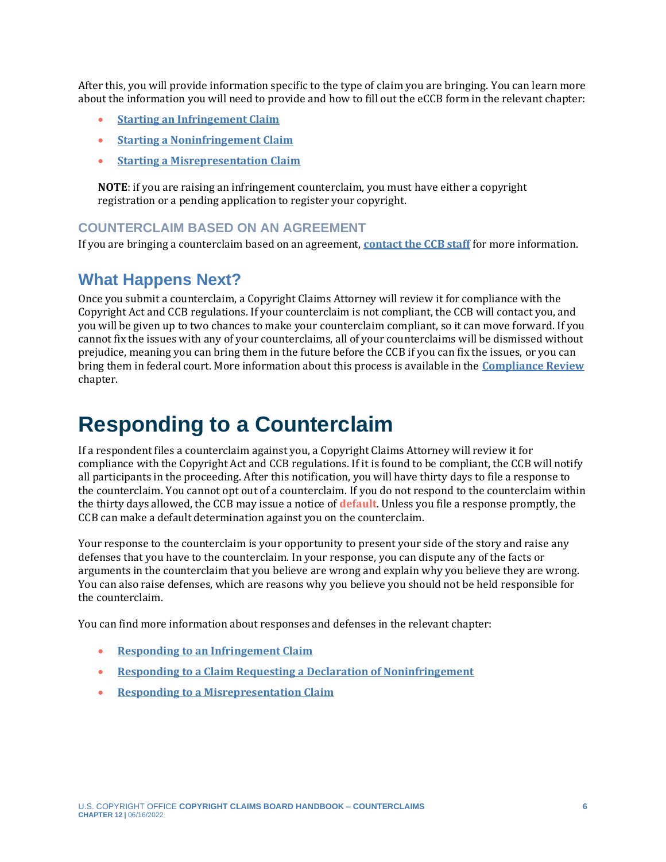After this, you will provide information specific to the type of claim you are bringing. You can learn more about the information you will need to provide and how to fill out the eCCB form in the relevant chapter:

- **[Starting an Infringement Claim](https://ccb.gov/handbook/Infringement-Claim.pdf)**
- **[Starting a Noninfringement Claim](https://ccb.gov/handbook/Noninfringement-Claim.pdf)**
- **[Starting a Misrepresentation Claim](https://ccb.gov/handbook/Misrepresentation-Claim.pdf)**

**NOTE**: if you are raising an infringement counterclaim, you must have either a copyright registration or a pending application to register your copyright.

#### **COUNTERCLAIM BASED ON AN AGREEMENT**

If you are bringing a counterclaim based on an agreement, **[contact the CCB staff](https://ccb.gov/contact/)** for more information.

### **What Happens Next?**

Once you submit a counterclaim, a Copyright Claims Attorney will review it for compliance with the Copyright Act and CCB regulations. If your counterclaim is not compliant, the CCB will contact you, and you will be given up to two chances to make your counterclaim compliant, so it can move forward. If you cannot fix the issues with any of your counterclaims, all of your counterclaims will be dismissed without prejudice, meaning you can bring them in the future before the CCB if you can fix the issues, or you can bring them in federal court. More information about this process is available in the **[Compliance Review](https://ccb.gov/handbook/Compliance.pdf)** chapter.

# <span id="page-5-0"></span>**Responding to a Counterclaim**

If a respondent files a counterclaim against you, a Copyright Claims Attorney will review it for compliance with the Copyright Act and CCB regulations. If it is found to be compliant, the CCB will notify all participants in the proceeding. After this notification, you will have thirty days to file a response to the counterclaim. You cannot opt out of a counterclaim. If you do not respond to the counterclaim within the thirty days allowed, the CCB may issue a notice of **[default](#page-6-0)**. Unless you file a response promptly, the CCB can make a default determination against you on the counterclaim.

<span id="page-5-1"></span>Your response to the counterclaim is your opportunity to present your side of the story and raise any defenses that you have to the counterclaim. In your response, you can dispute any of the facts or arguments in the counterclaim that you believe are wrong and explain why you believe they are wrong. You can also raise defenses, which are reasons why you believe you should not be held responsible for the counterclaim.

You can find more information about responses and defenses in the relevant chapter:

- **[Responding to an Infringement Claim](https://ccb.gov/handbook/Response-Infringement.pdf)**
- **[Responding to a Claim Requesting a Declaration of Noninfringement](https://ccb.gov/handbook/Response-Noninfringement.pdf)**
- **[Responding to a Misrepresentation Claim](https://ccb.gov/handbook/Response-Misrepresentation.pdf)**